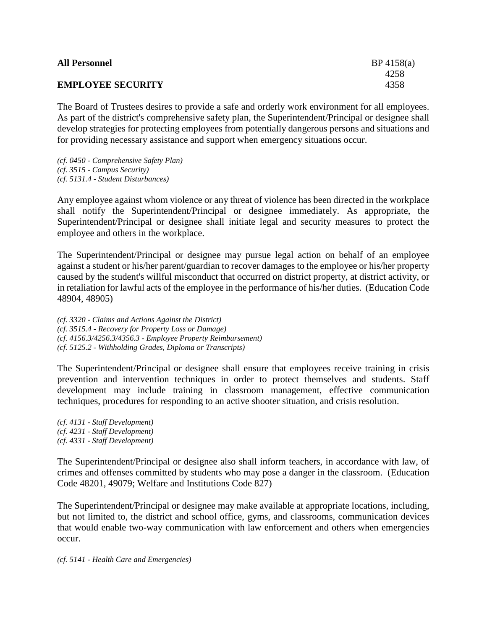| <b>All Personnel</b>     | BP 4158(a) |
|--------------------------|------------|
|                          | 4258       |
| <b>EMPLOYEE SECURITY</b> | 4358       |
|                          |            |

The Board of Trustees desires to provide a safe and orderly work environment for all employees. As part of the district's comprehensive safety plan, the Superintendent/Principal or designee shall develop strategies for protecting employees from potentially dangerous persons and situations and for providing necessary assistance and support when emergency situations occur.

*(cf. 0450 - Comprehensive Safety Plan) (cf. 3515 - Campus Security) (cf. 5131.4 - Student Disturbances)*

Any employee against whom violence or any threat of violence has been directed in the workplace shall notify the Superintendent/Principal or designee immediately. As appropriate, the Superintendent/Principal or designee shall initiate legal and security measures to protect the employee and others in the workplace.

The Superintendent/Principal or designee may pursue legal action on behalf of an employee against a student or his/her parent/guardian to recover damages to the employee or his/her property caused by the student's willful misconduct that occurred on district property, at district activity, or in retaliation for lawful acts of the employee in the performance of his/her duties. (Education Code 48904, 48905)

*(cf. 3320 - Claims and Actions Against the District) (cf. 3515.4 - Recovery for Property Loss or Damage) (cf. 4156.3/4256.3/4356.3 - Employee Property Reimbursement) (cf. 5125.2 - Withholding Grades, Diploma or Transcripts)*

The Superintendent/Principal or designee shall ensure that employees receive training in crisis prevention and intervention techniques in order to protect themselves and students. Staff development may include training in classroom management, effective communication techniques, procedures for responding to an active shooter situation, and crisis resolution.

*(cf. 4131 - Staff Development) (cf. 4231 - Staff Development) (cf. 4331 - Staff Development)*

The Superintendent/Principal or designee also shall inform teachers, in accordance with law, of crimes and offenses committed by students who may pose a danger in the classroom. (Education Code 48201, 49079; Welfare and Institutions Code 827)

The Superintendent/Principal or designee may make available at appropriate locations, including, but not limited to, the district and school office, gyms, and classrooms, communication devices that would enable two-way communication with law enforcement and others when emergencies occur.

*(cf. 5141 - Health Care and Emergencies)*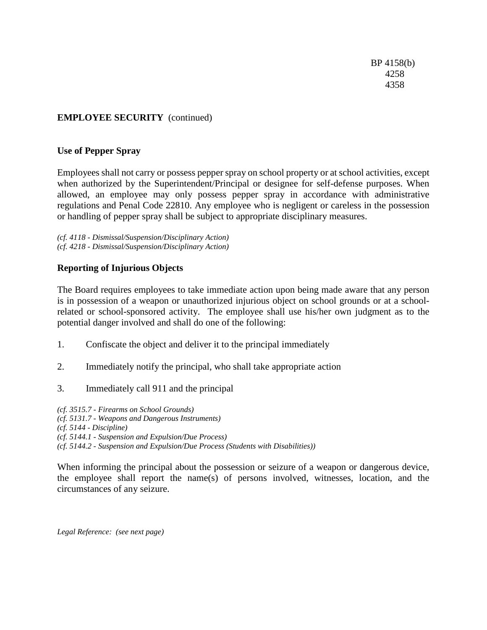BP 4158(b) 4258 4358

## **EMPLOYEE SECURITY** (continued)

### **Use of Pepper Spray**

Employees shall not carry or possess pepper spray on school property or at school activities, except when authorized by the Superintendent/Principal or designee for self-defense purposes. When allowed, an employee may only possess pepper spray in accordance with administrative regulations and Penal Code 22810. Any employee who is negligent or careless in the possession or handling of pepper spray shall be subject to appropriate disciplinary measures.

*(cf. 4118 - Dismissal/Suspension/Disciplinary Action) (cf. 4218 - Dismissal/Suspension/Disciplinary Action)*

#### **Reporting of Injurious Objects**

The Board requires employees to take immediate action upon being made aware that any person is in possession of a weapon or unauthorized injurious object on school grounds or at a schoolrelated or school-sponsored activity. The employee shall use his/her own judgment as to the potential danger involved and shall do one of the following:

- 1. Confiscate the object and deliver it to the principal immediately
- 2. Immediately notify the principal, who shall take appropriate action
- 3. Immediately call 911 and the principal

*(cf. 3515.7 - Firearms on School Grounds) (cf. 5131.7 - Weapons and Dangerous Instruments) (cf. 5144 - Discipline) (cf. 5144.1 - Suspension and Expulsion/Due Process) (cf. 5144.2 - Suspension and Expulsion/Due Process (Students with Disabilities))*

When informing the principal about the possession or seizure of a weapon or dangerous device, the employee shall report the name(s) of persons involved, witnesses, location, and the circumstances of any seizure.

*Legal Reference: (see next page)*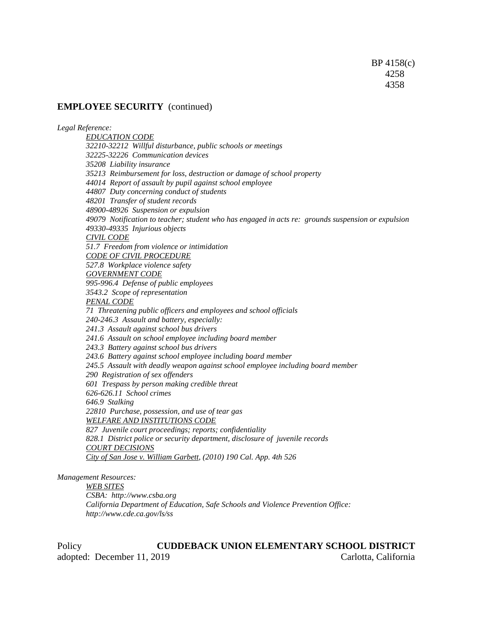#### **EMPLOYEE SECURITY** (continued)

*Legal Reference: EDUCATION CODE 32210-32212 Willful disturbance, public schools or meetings 32225-32226 Communication devices 35208 Liability insurance 35213 Reimbursement for loss, destruction or damage of school property 44014 Report of assault by pupil against school employee 44807 Duty concerning conduct of students 48201 Transfer of student records 48900-48926 Suspension or expulsion 49079 Notification to teacher; student who has engaged in acts re: grounds suspension or expulsion 49330-49335 Injurious objects CIVIL CODE 51.7 Freedom from violence or intimidation CODE OF CIVIL PROCEDURE 527.8 Workplace violence safety GOVERNMENT CODE 995-996.4 Defense of public employees 3543.2 Scope of representation PENAL CODE 71 Threatening public officers and employees and school officials 240-246.3 Assault and battery, especially: 241.3 Assault against school bus drivers 241.6 Assault on school employee including board member 243.3 Battery against school bus drivers 243.6 Battery against school employee including board member 245.5 Assault with deadly weapon against school employee including board member 290 Registration of sex offenders 601 Trespass by person making credible threat 626-626.11 School crimes 646.9 Stalking 22810 Purchase, possession, and use of tear gas WELFARE AND INSTITUTIONS CODE 827 Juvenile court proceedings; reports; confidentiality 828.1 District police or security department, disclosure of juvenile records COURT DECISIONS City of San Jose v. William Garbett, (2010) 190 Cal. App. 4th 526 Management Resources:*

*WEB SITES CSBA: http://www.csba.org California Department of Education, Safe Schools and Violence Prevention Office: http://www.cde.ca.gov/ls/ss*

Policy **CUDDEBACK UNION ELEMENTARY SCHOOL DISTRICT** adopted: December 11, 2019 Carlotta, California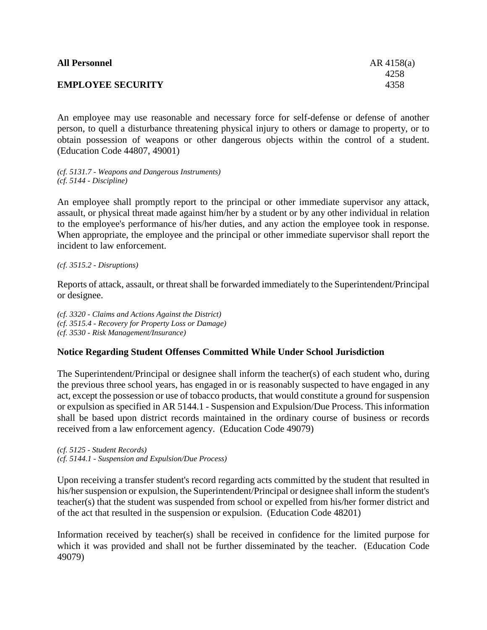| <b>All Personnel</b>     | $AR$ 4158(a) |
|--------------------------|--------------|
|                          | 4258         |
| <b>EMPLOYEE SECURITY</b> | 4358         |

An employee may use reasonable and necessary force for self-defense or defense of another person, to quell a disturbance threatening physical injury to others or damage to property, or to obtain possession of weapons or other dangerous objects within the control of a student. (Education Code 44807, 49001)

*(cf. 5131.7 - Weapons and Dangerous Instruments) (cf. 5144 - Discipline)*

An employee shall promptly report to the principal or other immediate supervisor any attack, assault, or physical threat made against him/her by a student or by any other individual in relation to the employee's performance of his/her duties, and any action the employee took in response. When appropriate, the employee and the principal or other immediate supervisor shall report the incident to law enforcement.

*(cf. 3515.2 - Disruptions)*

Reports of attack, assault, or threat shall be forwarded immediately to the Superintendent/Principal or designee.

*(cf. 3320 - Claims and Actions Against the District) (cf. 3515.4 - Recovery for Property Loss or Damage) (cf. 3530 - Risk Management/Insurance)*

# **Notice Regarding Student Offenses Committed While Under School Jurisdiction**

The Superintendent/Principal or designee shall inform the teacher(s) of each student who, during the previous three school years, has engaged in or is reasonably suspected to have engaged in any act, except the possession or use of tobacco products, that would constitute a ground for suspension or expulsion as specified in AR 5144.1 - Suspension and Expulsion/Due Process. This information shall be based upon district records maintained in the ordinary course of business or records received from a law enforcement agency. (Education Code 49079)

*(cf. 5125 - Student Records) (cf. 5144.1 - Suspension and Expulsion/Due Process)*

Upon receiving a transfer student's record regarding acts committed by the student that resulted in his/her suspension or expulsion, the Superintendent/Principal or designee shall inform the student's teacher(s) that the student was suspended from school or expelled from his/her former district and of the act that resulted in the suspension or expulsion. (Education Code 48201)

Information received by teacher(s) shall be received in confidence for the limited purpose for which it was provided and shall not be further disseminated by the teacher. (Education Code 49079)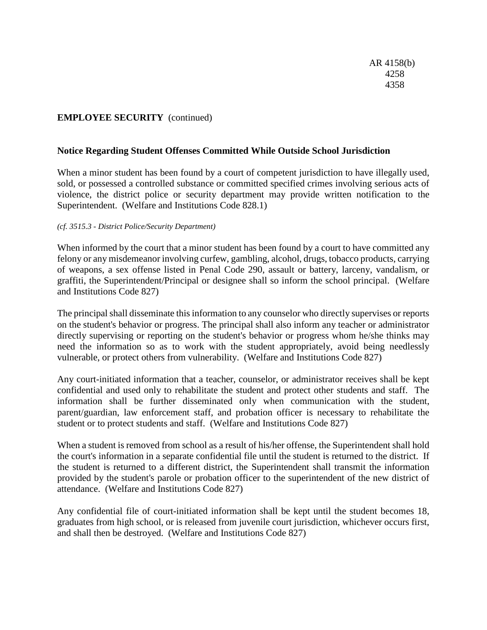# **EMPLOYEE SECURITY** (continued)

#### **Notice Regarding Student Offenses Committed While Outside School Jurisdiction**

When a minor student has been found by a court of competent jurisdiction to have illegally used, sold, or possessed a controlled substance or committed specified crimes involving serious acts of violence, the district police or security department may provide written notification to the Superintendent. (Welfare and Institutions Code 828.1)

#### *(cf. 3515.3 - District Police/Security Department)*

When informed by the court that a minor student has been found by a court to have committed any felony or any misdemeanor involving curfew, gambling, alcohol, drugs, tobacco products, carrying of weapons, a sex offense listed in Penal Code 290, assault or battery, larceny, vandalism, or graffiti, the Superintendent/Principal or designee shall so inform the school principal. (Welfare and Institutions Code 827)

The principal shall disseminate this information to any counselor who directly supervises or reports on the student's behavior or progress. The principal shall also inform any teacher or administrator directly supervising or reporting on the student's behavior or progress whom he/she thinks may need the information so as to work with the student appropriately, avoid being needlessly vulnerable, or protect others from vulnerability. (Welfare and Institutions Code 827)

Any court-initiated information that a teacher, counselor, or administrator receives shall be kept confidential and used only to rehabilitate the student and protect other students and staff. The information shall be further disseminated only when communication with the student, parent/guardian, law enforcement staff, and probation officer is necessary to rehabilitate the student or to protect students and staff. (Welfare and Institutions Code 827)

When a student is removed from school as a result of his/her offense, the Superintendent shall hold the court's information in a separate confidential file until the student is returned to the district. If the student is returned to a different district, the Superintendent shall transmit the information provided by the student's parole or probation officer to the superintendent of the new district of attendance. (Welfare and Institutions Code 827)

Any confidential file of court-initiated information shall be kept until the student becomes 18, graduates from high school, or is released from juvenile court jurisdiction, whichever occurs first, and shall then be destroyed. (Welfare and Institutions Code 827)